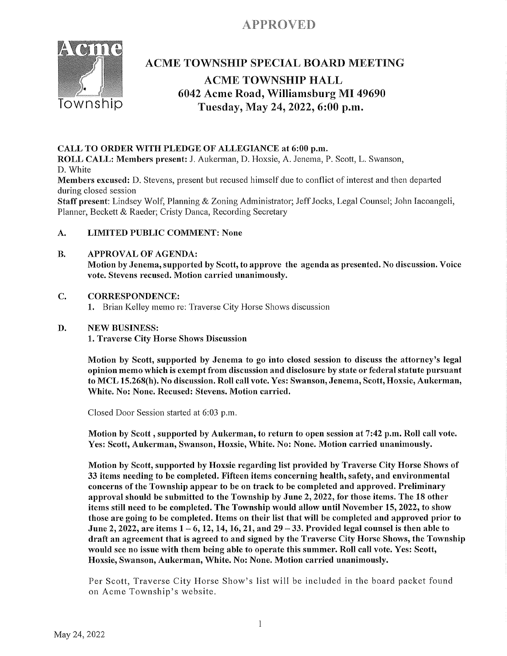# APPROVED



## **ACME TOWNSHIP SPECIAL BOARD MEETING**

## **ACME TOWNSHIP HALL** 6042 Acme Road, Williamsburg MI 49690 Tuesday, May 24, 2022, 6:00 p.m.

## CALL TO ORDER WITH PLEDGE OF ALLEGIANCE at 6:00 p.m.

ROLL CALL: Members present: J. Aukerman, D. Hoxsie, A. Jenema, P. Scott, L. Swanson, D. White

Members excused: D. Stevens, present but recused himself due to conflict of interest and then departed during closed session

Staff present: Lindsey Wolf, Planning & Zoning Administrator; Jeff Jocks, Legal Counsel; John Iacoangeli, Planner, Beckett & Raeder; Cristy Danca, Recording Secretary

#### A. **LIMITED PUBLIC COMMENT: None**

#### **B. APPROVAL OF AGENDA:**

Motion by Jenema, supported by Scott, to approve the agenda as presented. No discussion. Voice vote. Stevens recused. Motion carried unanimously.

#### C. **CORRESPONDENCE:**

1. Brian Kelley memo re: Traverse City Horse Shows discussion

#### **NEW BUSINESS:** D.

1. Traverse City Horse Shows Discussion

Motion by Scott, supported by Jenema to go into closed session to discuss the attorney's legal opinion memo which is exempt from discussion and disclosure by state or federal statute pursuant to MCL 15.268(h). No discussion. Roll call vote. Yes: Swanson, Jenema, Scott, Hoxsie, Aukerman, White. No: None. Recused: Stevens. Motion carried.

Closed Door Session started at 6:03 p.m.

Motion by Scott, supported by Aukerman, to return to open session at 7:42 p.m. Roll call vote. Yes: Scott, Aukerman, Swanson, Hoxsie, White. No: None. Motion carried unanimously.

Motion by Scott, supported by Hoxsie regarding list provided by Traverse City Horse Shows of 33 items needing to be completed. Fifteen items concerning health, safety, and environmental concerns of the Township appear to be on track to be completed and approved. Preliminary approval should be submitted to the Township by June 2, 2022, for those items. The 18 other items still need to be completed. The Township would allow until November 15, 2022, to show those are going to be completed. Items on their list that will be completed and approved prior to June 2, 2022, are items  $1 - 6$ , 12, 14, 16, 21, and  $29 - 33$ . Provided legal counsel is then able to draft an agreement that is agreed to and signed by the Traverse City Horse Shows, the Township would see no issue with them being able to operate this summer. Roll call vote. Yes: Scott, Hoxsie, Swanson, Aukerman, White. No: None. Motion carried unanimously.

Per Scott, Traverse City Horse Show's list will be included in the board packet found on Acme Township's website.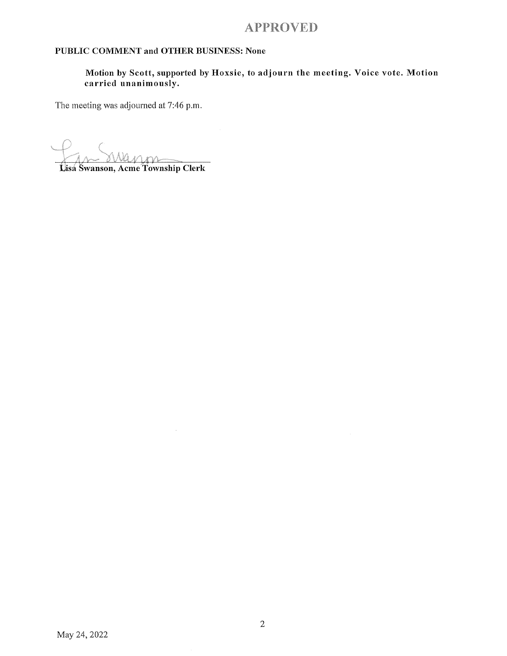## **APPROVED**

### PUBLIC COMMENT and OTHER BUSINESS: None

 $\mathcal{A}^{\mathcal{A}}$ 

Motion by Scott, supported by Hoxsie, to adjourn the meeting. Voice vote. Motion carried unanimously.

The meeting was adjourned at 7:46 p.m.

Lisa Swanson, Acme Township Clerk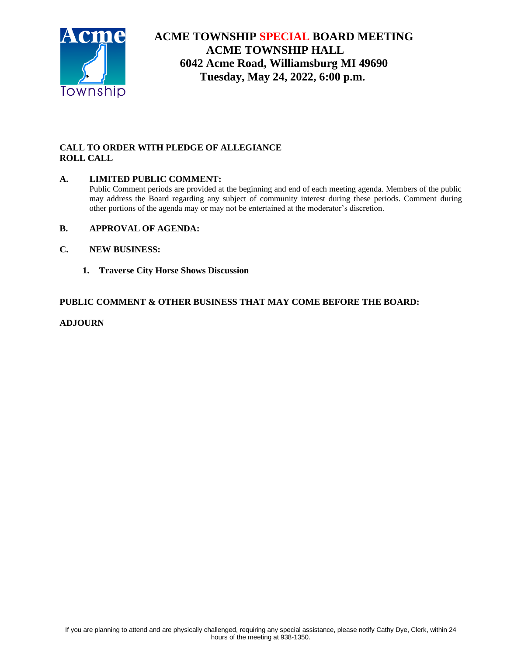

# **ACME TOWNSHIP SPECIAL BOARD MEETING ACME TOWNSHIP HALL 6042 Acme Road, Williamsburg MI 49690 Tuesday, May 24, 2022, 6:00 p.m.**

## **CALL TO ORDER WITH PLEDGE OF ALLEGIANCE ROLL CALL**

## **A. LIMITED PUBLIC COMMENT:**

Public Comment periods are provided at the beginning and end of each meeting agenda. Members of the public may address the Board regarding any subject of community interest during these periods. Comment during other portions of the agenda may or may not be entertained at the moderator's discretion.

### **B. APPROVAL OF AGENDA:**

- **C. NEW BUSINESS:**
	- **1. Traverse City Horse Shows Discussion**

### **PUBLIC COMMENT & OTHER BUSINESS THAT MAY COME BEFORE THE BOARD:**

### **ADJOURN**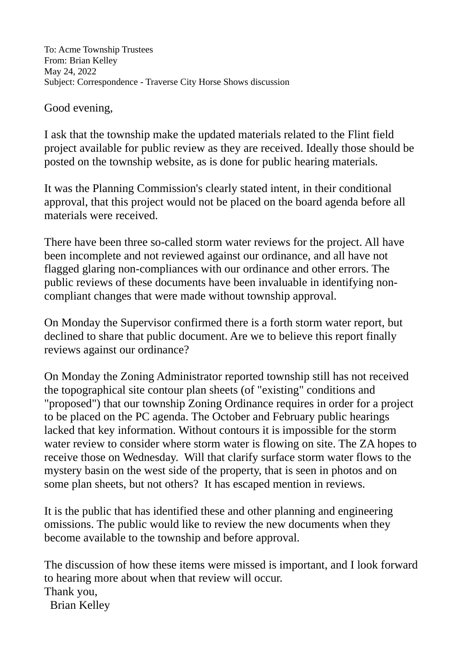# Good evening,

I ask that the township make the updated materials related to the Flint field project available for public review as they are received. Ideally those should be posted on the township website, as is done for public hearing materials.

It was the Planning Commission's clearly stated intent, in their conditional approval, that this project would not be placed on the board agenda before all materials were received.

There have been three so-called storm water reviews for the project. All have been incomplete and not reviewed against our ordinance, and all have not flagged glaring non-compliances with our ordinance and other errors. The public reviews of these documents have been invaluable in identifying noncompliant changes that were made without township approval.

On Monday the Supervisor confirmed there is a forth storm water report, but declined to share that public document. Are we to believe this report finally reviews against our ordinance?

On Monday the Zoning Administrator reported township still has not received the topographical site contour plan sheets (of "existing" conditions and "proposed") that our township Zoning Ordinance requires in order for a project to be placed on the PC agenda. The October and February public hearings lacked that key information. Without contours it is impossible for the storm water review to consider where storm water is flowing on site. The ZA hopes to receive those on Wednesday. Will that clarify surface storm water flows to the mystery basin on the west side of the property, that is seen in photos and on some plan sheets, but not others? It has escaped mention in reviews.

It is the public that has identified these and other planning and engineering omissions. The public would like to review the new documents when they become available to the township and before approval.

The discussion of how these items were missed is important, and I look forward to hearing more about when that review will occur. Thank you, Brian Kelley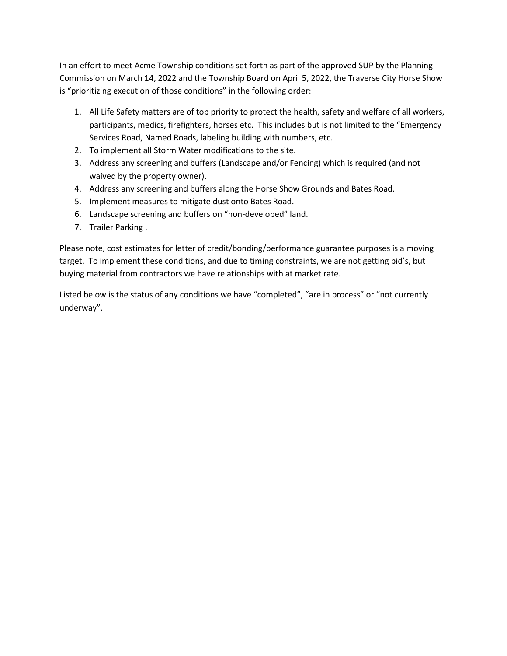In an effort to meet Acme Township conditions set forth as part of the approved SUP by the Planning Commission on March 14, 2022 and the Township Board on April 5, 2022, the Traverse City Horse Show is "prioritizing execution of those conditions" in the following order:

- 1. All Life Safety matters are of top priority to protect the health, safety and welfare of all workers, participants, medics, firefighters, horses etc. This includes but is not limited to the "Emergency Services Road, Named Roads, labeling building with numbers, etc.
- 2. To implement all Storm Water modifications to the site.
- 3. Address any screening and buffers (Landscape and/or Fencing) which is required (and not waived by the property owner).
- 4. Address any screening and buffers along the Horse Show Grounds and Bates Road.
- 5. Implement measures to mitigate dust onto Bates Road.
- 6. Landscape screening and buffers on "non-developed" land.
- 7. Trailer Parking .

Please note, cost estimates for letter of credit/bonding/performance guarantee purposes is a moving target. To implement these conditions, and due to timing constraints, we are not getting bid's, but buying material from contractors we have relationships with at market rate.

Listed below is the status of any conditions we have "completed", "are in process" or "not currently underway".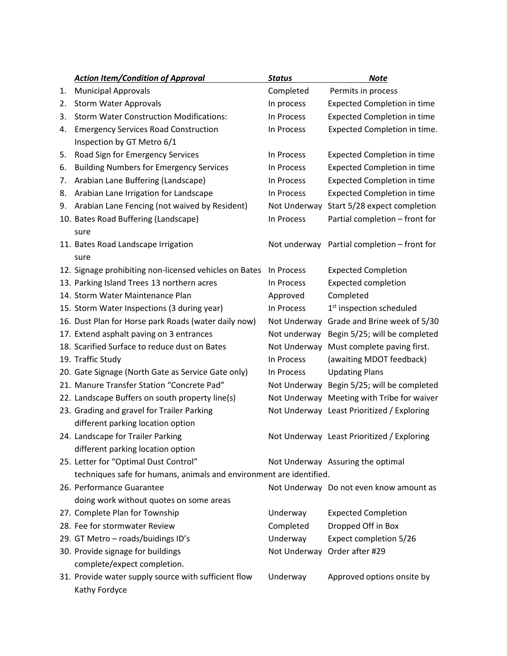|    | <b>Action Item/Condition of Approval</b>                            | <b>Status</b> | <b>Note</b>                                 |
|----|---------------------------------------------------------------------|---------------|---------------------------------------------|
| 1. | <b>Municipal Approvals</b>                                          | Completed     | Permits in process                          |
| 2. | <b>Storm Water Approvals</b>                                        | In process    | <b>Expected Completion in time</b>          |
| 3. | <b>Storm Water Construction Modifications:</b>                      | In Process    | <b>Expected Completion in time</b>          |
| 4. | <b>Emergency Services Road Construction</b>                         | In Process    | Expected Completion in time.                |
|    | Inspection by GT Metro 6/1                                          |               |                                             |
| 5. | Road Sign for Emergency Services                                    | In Process    | <b>Expected Completion in time</b>          |
| 6. | <b>Building Numbers for Emergency Services</b>                      | In Process    | <b>Expected Completion in time</b>          |
| 7. | Arabian Lane Buffering (Landscape)                                  | In Process    | <b>Expected Completion in time</b>          |
| 8. | Arabian Lane Irrigation for Landscape                               | In Process    | <b>Expected Completion in time</b>          |
| 9. | Arabian Lane Fencing (not waived by Resident)                       | Not Underway  | Start 5/28 expect completion                |
|    | 10. Bates Road Buffering (Landscape)                                | In Process    | Partial completion - front for              |
|    | sure                                                                |               |                                             |
|    | 11. Bates Road Landscape Irrigation                                 |               | Not underway Partial completion - front for |
|    | sure                                                                |               |                                             |
|    | 12. Signage prohibiting non-licensed vehicles on Bates              | In Process    | <b>Expected Completion</b>                  |
|    | 13. Parking Island Trees 13 northern acres                          | In Process    | <b>Expected completion</b>                  |
|    | 14. Storm Water Maintenance Plan                                    | Approved      | Completed                                   |
|    | 15. Storm Water Inspections (3 during year)                         | In Process    | 1 <sup>st</sup> inspection scheduled        |
|    | 16. Dust Plan for Horse park Roads (water daily now)                | Not Underway  | Grade and Brine week of 5/30                |
|    | 17. Extend asphalt paving on 3 entrances                            | Not underway  | Begin 5/25; will be completed               |
|    | 18. Scarified Surface to reduce dust on Bates                       | Not Underway  | Must complete paving first.                 |
|    | 19. Traffic Study                                                   | In Process    | (awaiting MDOT feedback)                    |
|    | 20. Gate Signage (North Gate as Service Gate only)                  | In Process    | <b>Updating Plans</b>                       |
|    | 21. Manure Transfer Station "Concrete Pad"                          |               | Not Underway Begin 5/25; will be completed  |
|    | 22. Landscape Buffers on south property line(s)                     |               | Not Underway Meeting with Tribe for waiver  |
|    | 23. Grading and gravel for Trailer Parking                          |               | Not Underway Least Prioritized / Exploring  |
|    | different parking location option                                   |               |                                             |
|    | 24. Landscape for Trailer Parking                                   |               | Not Underway Least Prioritized / Exploring  |
|    | different parking location option                                   |               |                                             |
|    | 25. Letter for "Optimal Dust Control"                               |               | Not Underway Assuring the optimal           |
|    | techniques safe for humans, animals and environment are identified. |               |                                             |
|    | 26. Performance Guarantee                                           |               | Not Underway Do not even know amount as     |
|    | doing work without quotes on some areas                             |               |                                             |
|    | 27. Complete Plan for Township                                      | Underway      | <b>Expected Completion</b>                  |
|    | 28. Fee for stormwater Review                                       | Completed     | Dropped Off in Box                          |
|    | 29. GT Metro - roads/buidings ID's                                  | Underway      | Expect completion 5/26                      |
|    | 30. Provide signage for buildings                                   | Not Underway  | Order after #29                             |
|    | complete/expect completion.                                         |               |                                             |
|    | 31. Provide water supply source with sufficient flow                | Underway      | Approved options onsite by                  |
|    | Kathy Fordyce                                                       |               |                                             |